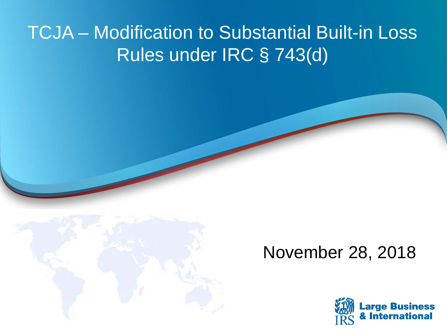### TCJA – Modification to Substantial Built-in Loss Rules under IRC § 743(d)



### November 28, 2018

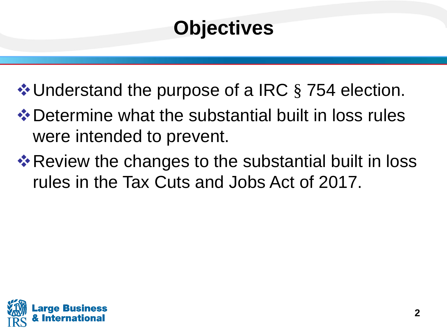# **Objectives**

❖ Understand the purpose of a IRC § 754 election.

- **❖ Determine what the substantial built in loss rules** were intended to prevent.
- rules in the Tax Cuts and Jobs Act of 2017. **Exember 8 Propers Figure 20 Property Review the changes to the substantial built in loss**

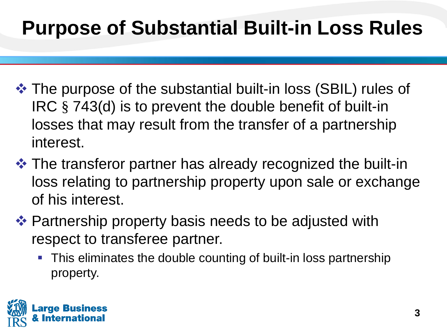## **Purpose of Substantial Built-in Loss Rules**

- losses that may result from the transfer of a partnership The purpose of the substantial built-in loss (SBIL) rules of IRC § 743(d) is to prevent the double benefit of built-in interest.
- $\triangle$  **The transferor partner has already recognized the built-in** loss relating to partnership property upon sale or exchange of his interest.
- Partnership property basis needs to be adjusted with respect to transferee partner.
	- **This eliminates the double counting of built-in loss partnership** property.

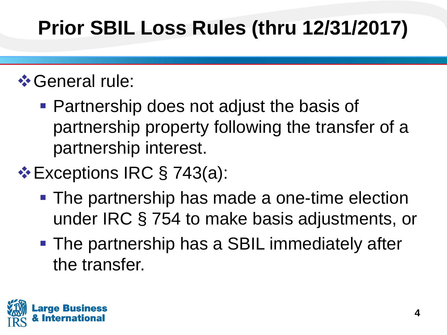# **Prior SBIL Loss Rules (thru 12/31/2017)**

### $\diamond$  **General rule:**

- Partnership does not adjust the basis of partnership property following the transfer of a partnership interest.
- **Exceptions IRC § 743(a):** 
	- **The partnership has made a one-time election** under IRC § 754 to make basis adjustments, or
	- **The partnership has a SBIL immediately after** the transfer.

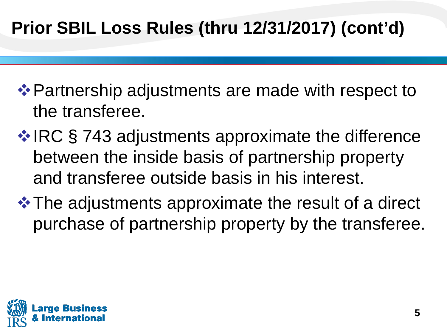### **Prior SBIL Loss Rules (thru 12/31/2017) (cont'd)**

- **Extember 4 Partnership adjustments are made with respect to** the transferee.
- **❖ IRC § 743 adjustments approximate the difference** between the inside basis of partnership property and transferee outside basis in his interest.
- $\triangle$  **The adjustments approximate the result of a direct** purchase of partnership property by the transferee.

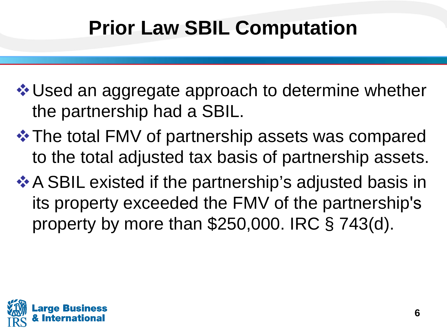## **Prior Law SBIL Computation**

**V** Used an aggregate approach to determine whether the partnership had a SBIL.

- **\*\* The total FMV of partnership assets was compared** to the total adjusted tax basis of partnership assets.
- **A** SBIL existed if the partnership's adjusted basis in its property exceeded the FMV of the partnership's property by more than \$250,000. IRC § 743(d).

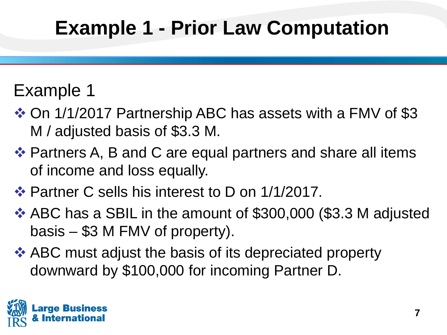# **Example 1 - Prior Law Computation**

### Example 1

- On 1/1/2017 Partnership ABC has assets with a FMV of \$3 M / adjusted basis of \$3.3 M.
- Partners A, B and C are equal partners and share all items of income and loss equally.
- Partner C sells his interest to D on 1/1/2017.
- ABC has a SBIL in the amount of \$300,000 (\$3.3 M adjusted basis – \$3 M FMV of property).
- **ABC** must adjust the basis of its depreciated property downward by \$100,000 for incoming Partner D.

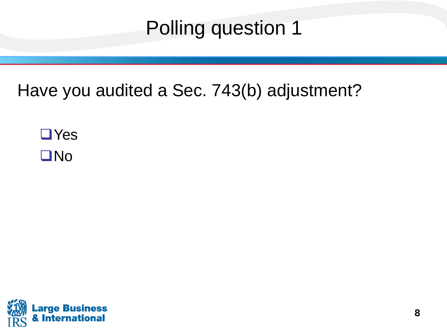## Polling question 1

### Have you audited a Sec. 743(b) adjustment?

 Yes No

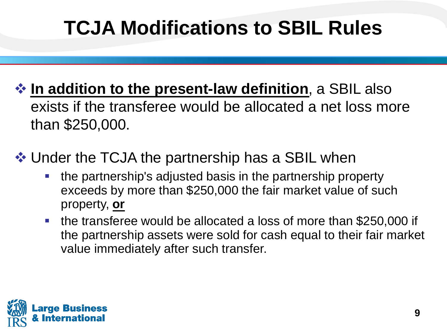# **TCJA Modifications to SBIL Rules**

- **☆ In addition to the present-law definition**, a SBIL also exists if the transferee would be allocated a net loss more than \$250,000.
- ❖ Under the TCJA the partnership has a SBIL when
	- the partnership's adjusted basis in the partnership property exceeds by more than \$250,000 the fair market value of such property, **or**
	- the transferee would be allocated a loss of more than \$250,000 if the partnership assets were sold for cash equal to their fair market value immediately after such transfer.

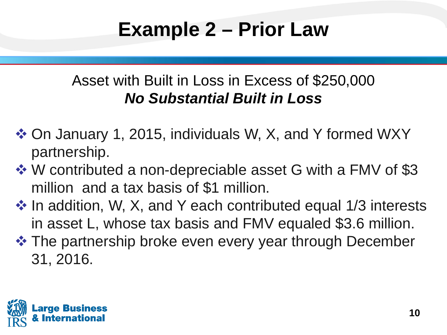## **Example 2 – Prior Law**

#### Asset with Built in Loss in Excess of \$250,000 *No Substantial Built in Loss*

- On January 1, 2015, individuals W, X, and Y formed WXY partnership.
- million and a tax basis of \$1 million. W contributed a non-depreciable asset G with a FMV of \$3
- $\cdot$  In addition, W, X, and Y each contributed equal 1/3 interests in asset L, whose tax basis and FMV equaled \$3.6 million.
- $\triangle$  **The partnership broke even every year through December** 31, 2016.

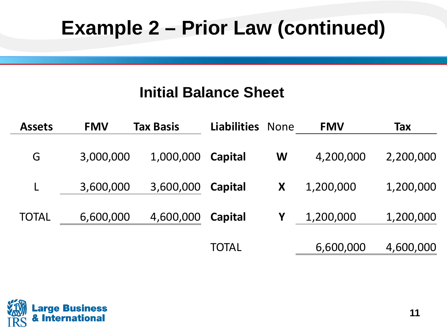## **Example 2 – Prior Law (continued)**

#### **Initial Balance Sheet**

| <b>Assets</b> | <b>FMV</b> | <b>Tax Basis</b> | <b>Liabilities None</b> |   | <b>FMV</b> | Tax       |
|---------------|------------|------------------|-------------------------|---|------------|-----------|
| G             | 3,000,000  | 1,000,000        | Capital                 | W | 4,200,000  | 2,200,000 |
|               | 3,600,000  | 3,600,000        | Capital                 | X | 1,200,000  | 1,200,000 |
| <b>TOTAL</b>  | 6,600,000  | 4,600,000        | Capital                 | Y | 1,200,000  | 1,200,000 |
|               |            |                  | TOTAL                   |   | 6,600,000  | 4,600,000 |

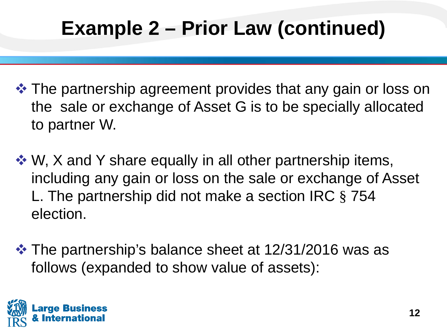# **Example 2 – Prior Law (continued)**

- The partnership agreement provides that any gain or loss on the sale or exchange of Asset G is to be specially allocated to partner W.
- $\cdot$  W, X and Y share equally in all other partnership items, including any gain or loss on the sale or exchange of Asset L. The partnership did not make a section IRC § 754 election.
- **\*** The partnership's balance sheet at 12/31/2016 was as follows (expanded to show value of assets):

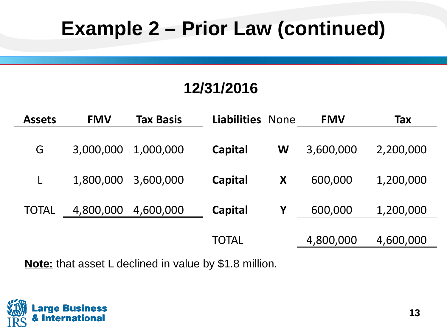## **Example 2 – Prior Law (continued)**

#### **12/31/2016**

| <b>Assets</b> | <b>FMV</b> | Tax Basis | <b>Liabilities None</b> |   | <b>FMV</b> | <b>Tax</b> |
|---------------|------------|-----------|-------------------------|---|------------|------------|
| G             | 3,000,000  | 1,000,000 | Capital                 | W | 3,600,000  | 2,200,000  |
|               | 1,800,000  | 3,600,000 | <b>Capital</b>          | X | 600,000    | 1,200,000  |
| <b>TOTAL</b>  | 4,800,000  | 4,600,000 | <b>Capital</b>          | Y | 600,000    | 1,200,000  |
|               |            |           | <b>TOTAL</b>            |   | 4,800,000  | 4,600,000  |

**Note:** that asset L declined in value by \$1.8 million.

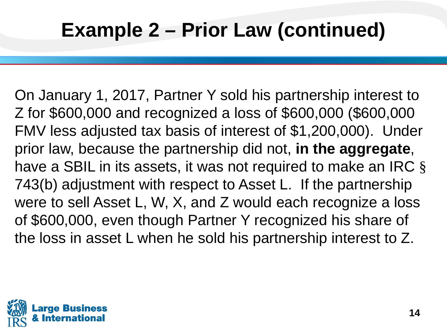On January 1, 2017, Partner Y sold his partnership interest to FMV less adjusted tax basis of interest of \$1,200,000). Under have a SBIL in its assets, it was not required to make an IRC  $\S$  743(b) adjustment with respect to Asset L. If the partnership were to sell Asset L, W, X, and Z would each recognize a loss of \$600,000, even though Partner Y recognized his share of the loss in asset L when he sold his partnership interest to Z. Z for \$600,000 and recognized a loss of \$600,000 (\$600,000 prior law, because the partnership did not, **in the aggregate**,

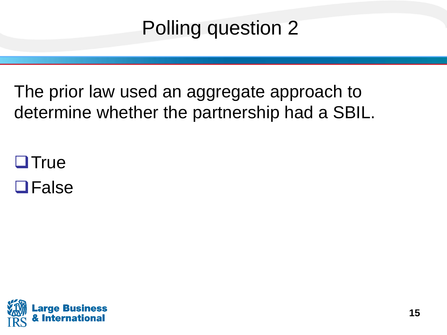## Polling question 2

The prior law used an aggregate approach to determine whether the partnership had a SBIL.

**OTrue** 

**OFalse** 

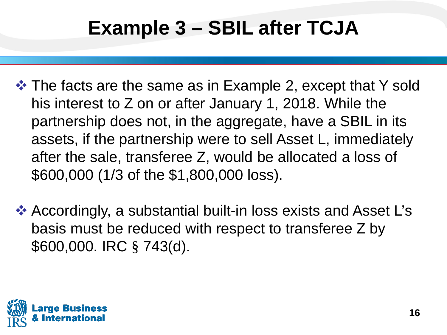## **Example 3 – SBIL after TCJA**

- **\*** The facts are the same as in Example 2, except that Y sold his interest to Z on or after January 1, 2018. While the partnership does not, in the aggregate, have a SBIL in its assets, if the partnership were to sell Asset L, immediately after the sale, transferee Z, would be allocated a loss of \$600,000 (1/3 of the \$1,800,000 loss).
- Accordingly, a substantial built-in loss exists and Asset L's basis must be reduced with respect to transferee Z by \$600,000. IRC § 743(d).

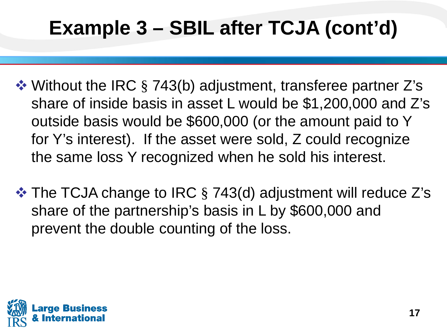# **Example 3 – SBIL after TCJA (cont'd)**

- share of inside basis in asset L would be \$1,200,000 and Z's outside basis would be \$600,000 (or the amount paid to Y for Y's interest). If the asset were sold, Z could recognize **❖ Without the IRC § 743(b) adjustment, transferee partner Z's** the same loss Y recognized when he sold his interest.
- The TCJA change to IRC § 743(d) adjustment will reduce Z's share of the partnership's basis in L by \$600,000 and prevent the double counting of the loss.

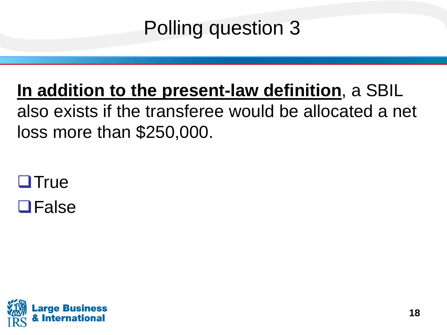## Polling question 3

### **In addition to the present-law definition**, a SBIL also exists if the transferee would be allocated a net loss more than \$250,000.

 $\Box$ True **OFalse**